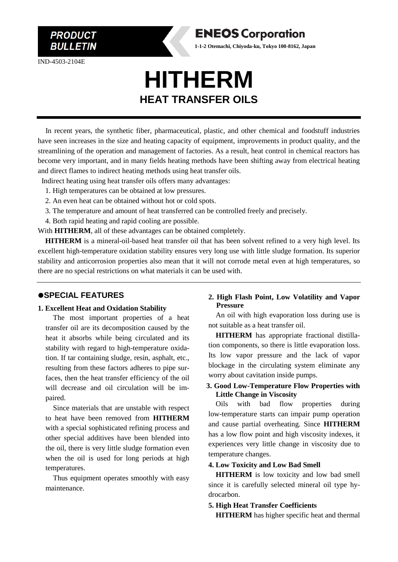**BULLETIN** 

**PRODUCT** 

IND-4503-2104E

# **HITHERM HEAT TRANSFER OILS**

**ENEOS Corporation 1-1-2 Otemachi, Chiyoda-ku, Tokyo 100-8162, Japan**

In recent years, the synthetic fiber, pharmaceutical, plastic, and other chemical and foodstuff industries have seen increases in the size and heating capacity of equipment, improvements in product quality, and the streamlining of the operation and management of factories. As a result, heat control in chemical reactors has become very important, and in many fields heating methods have been shifting away from electrical heating and direct flames to indirect heating methods using heat transfer oils.

Indirect heating using heat transfer oils offers many advantages:

- 1. High temperatures can be obtained at low pressures.
- 2. An even heat can be obtained without hot or cold spots.
- 3. The temperature and amount of heat transferred can be controlled freely and precisely.
- 4. Both rapid heating and rapid cooling are possible.

With **HITHERM**, all of these advantages can be obtained completely.

 **HITHERM** is a mineral-oil-based heat transfer oil that has been solvent refined to a very high level. Its excellent high-temperature oxidation stability ensures very long use with little sludge formation. Its superior stability and anticorrosion properties also mean that it will not corrode metal even at high temperatures, so there are no special restrictions on what materials it can be used with.

### ⚫**SPECIAL FEATURES**

#### **1. Excellent Heat and Oxidation Stability**

The most important properties of a heat transfer oil are its decomposition caused by the heat it absorbs while being circulated and its stability with regard to high-temperature oxidation. If tar containing sludge, resin, asphalt, etc., resulting from these factors adheres to pipe surfaces, then the heat transfer efficiency of the oil will decrease and oil circulation will be impaired.

Since materials that are unstable with respect to heat have been removed from **HITHERM** with a special sophisticated refining process and other special additives have been blended into the oil, there is very little sludge formation even when the oil is used for long periods at high temperatures.

Thus equipment operates smoothly with easy maintenance.

## **2. High Flash Point, Low Volatility and Vapor Pressure**

An oil with high evaporation loss during use is not suitable as a heat transfer oil.

**HITHERM** has appropriate fractional distillation components, so there is little evaporation loss. Its low vapor pressure and the lack of vapor blockage in the circulating system eliminate any worry about cavitation inside pumps.

#### **3. Good Low-Temperature Flow Properties with Little Change in Viscosity**

Oils with bad flow properties during low-temperature starts can impair pump operation and cause partial overheating. Since **HITHERM** has a low flow point and high viscosity indexes, it experiences very little change in viscosity due to temperature changes.

#### **4. Low Toxicity and Low Bad Smell**

**HITHERM** is low toxicity and low bad smell since it is carefully selected mineral oil type hydrocarbon.

#### **5. High Heat Transfer Coefficients**

**HITHERM** has higher specific heat and thermal